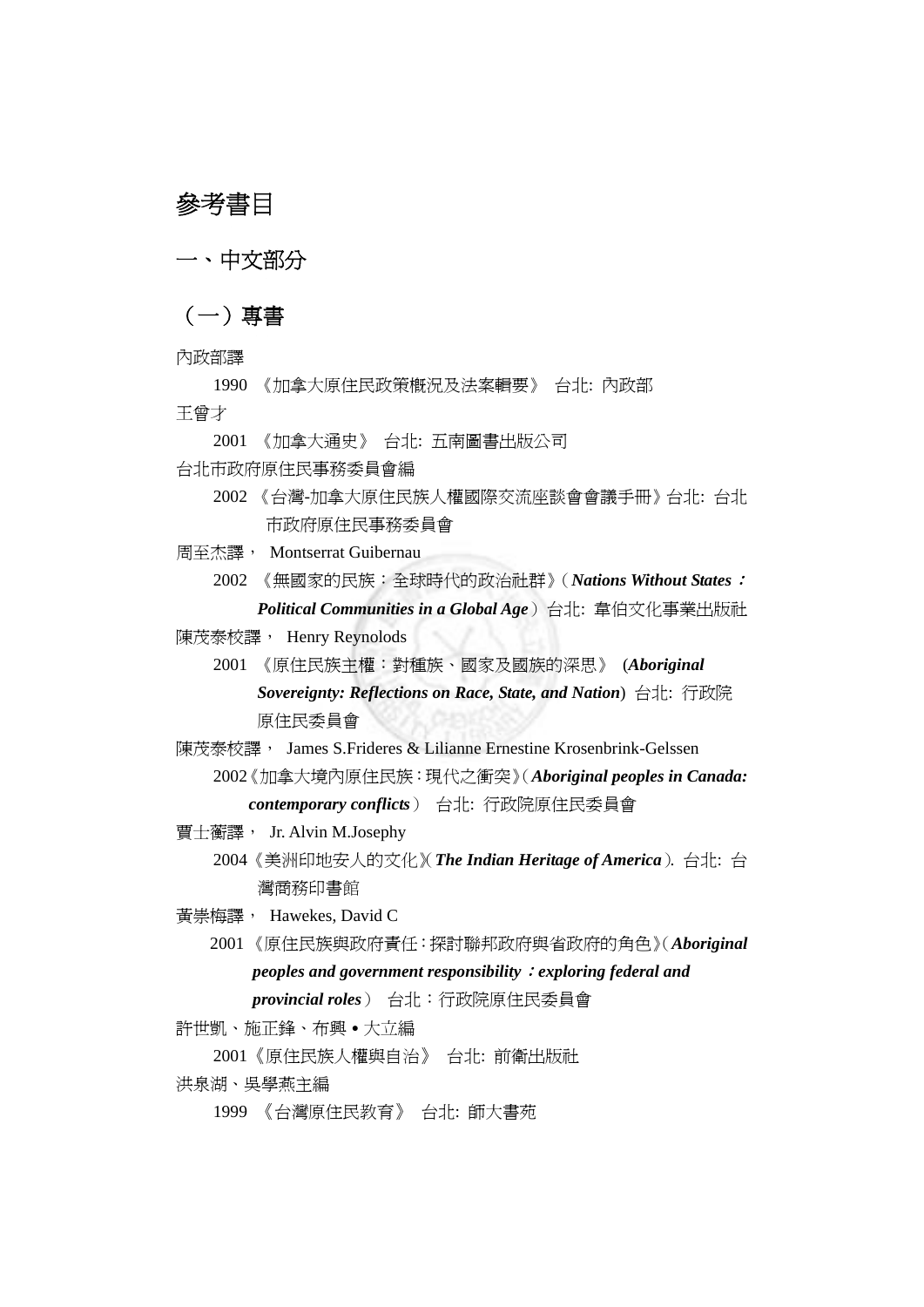# 參考書目

一、中文部分

# (一)專書

- 內政部譯
- 1990 《加拿大原住民政策概況及法案輯要》 台北: 內政部 王曾才
	- 2001 《加拿大通史》 台北: 五南圖書出版公司
- 台北市政府原住民事務委員會編
	- 2002 《台灣-加拿大原住民族人權國際交流座談會會議手冊》台北: 台北 市政府原住民事務委員會
- 周至杰譯, Montserrat Guibernau
	- 2002 《無國家的民族:全球時代的政治社群》(*Nations Without States*: *Political Communities in a Global Age*)台北: 韋伯文化事業出版社
- 陳茂泰校譯, Henry Reynolods
	- 2001 《原住民族主權:對種族、國家及國族的深思》 (*Aboriginal Sovereignty: Reflections on Race, State, and Nation*) 台北: 行政院 原住民委員會
- 陳茂泰校譯, James S.Frideres & Lilianne Ernestine Krosenbrink-Gelssen 2002《加拿大境內原住民族:現代之衝突》(*Aboriginal peoples in Canada: contemporary conflicts*) 台北: 行政院原住民委員會
- 賈士蘅譯, Jr. Alvin M.Josephy 2004 《美洲印地安人的文化》(*The Indian Heritage of America*). 台北: 台 灣商務印書館
- 黃崇梅譯, Hawekes, David C
	- 2001 《原住民族與政府責任:探討聯邦政府與省政府的角色》(*Aboriginal peoples and government responsibility*:*exploring federal and provincial roles*) 台北:行政院原住民委員會
- 許世凱、施正鋒、布興•大立編
	- 2001《原住民族人權與自治》 台北: 前衛出版社
- 洪泉湖、吳學燕主編
	- 1999 《台灣原住民教育》 台北: 師大書苑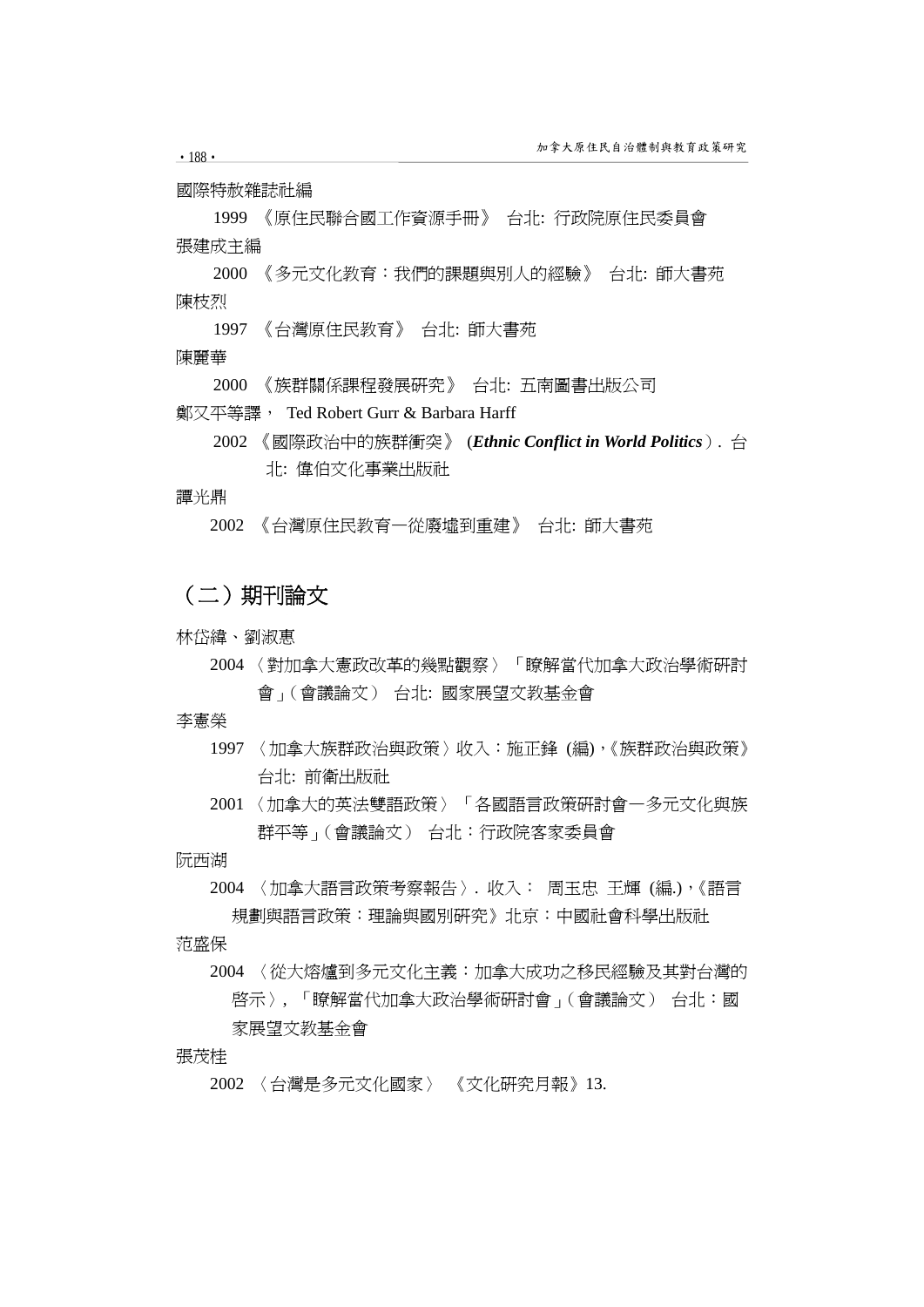國際特赦雜誌社編

1999 《原住民聯合國工作資源手冊》 台北: 行政院原住民委員會 張建成主編

2000 《多元文化教育:我們的課題與別人的經驗》 台北: 師大書苑 陳枝烈

1997 《台灣原住民教育》 台北: 師大書苑

陳麗華

2000 《族群關係課程發展研究》 台北: 五南圖書出版公司

鄭又平等譯, Ted Robert Gurr & Barbara Harff

2002 《國際政治中的族群衝突》 (*Ethnic Conflict in World Politics*). 台 北: 偉伯文化事業出版社

譚光鼎

2002 《台灣原住民教育—從廢墟到重建》 台北: 師大書苑

# (二)期刊論文

林岱緯、劉淑惠

2004 〈對加拿大憲政改革的幾點觀察〉 「瞭解當代加拿大政治學術研討 會」(會議論文) 台北: 國家展望文教基金會

李憲榮

- 1997 〈加拿大族群政治與政策〉收入:施正鋒 (編),《族群政治與政策》 台北: 前衛出版社
- 2001 〈加拿大的英法雙語政策〉「各國語言政策研討會—多元文化與族 群平等」(會議論文) 台北:行政院客家委員會

阮西湖

2004 〈加拿大語言政策考察報告〉. 收入: 周玉忠 王輝 (編.),《語言 規劃與語言政策:理論與國別研究》北京:中國社會科學出版社

范盛保

2004 〈從大熔爐到多元文化主義:加拿大成功之移民經驗及其對台灣的 啟示〉, 「瞭解當代加拿大政治學術研討會」(會議論文) 台北:國 家展望文教基金會

張茂桂

2002 〈台灣是多元文化國家〉 《文化研究月報》13.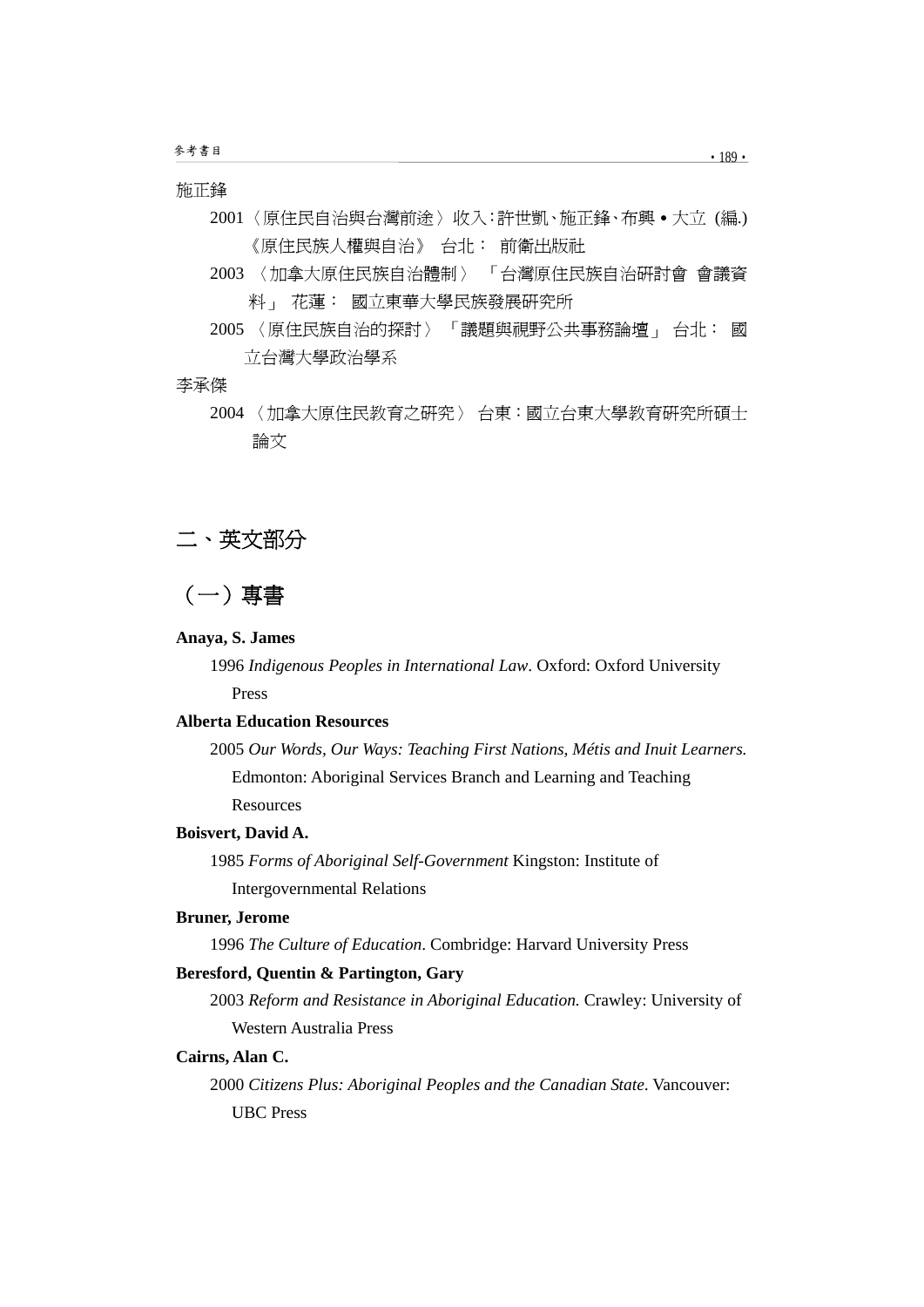### 施正鋒

- 2001 〈原住民自治與台灣前途〉收入:許世凱、施正鋒、布興․大立 (編.) 《原住民族人權與自治》 台北: 前衛出版社
- 2003 〈加拿大原住民族自治體制〉 「台灣原住民族自治研討會 會議資 料」 花蓮: 國立東華大學民族發展研究所
- 2005 〈原住民族自治的探討〉 「議題與視野公共事務論壇」 台北: 國 立台灣大學政治學系

#### 李承傑

2004 〈加拿大原住民教育之研究〉 台東:國立台東大學教育研究所碩士 論文





#### **Anaya, S. James**

1996 *Indigenous Peoples in International Law*. Oxford: Oxford University Press

# **Alberta Education Resources**

2005 *Our Words, Our Ways: Teaching First Nations, Métis and Inuit Learners.* Edmonton: Aboriginal Services Branch and Learning and Teaching **Resources** 

#### **Boisvert, David A.**

1985 *Forms of Aboriginal Self-Government* Kingston: Institute of Intergovernmental Relations

# **Bruner, Jerome**

1996 *The Culture of Education*. Combridge: Harvard University Press

#### **Beresford, Quentin & Partington, Gary**

2003 *Reform and Resistance in Aboriginal Education.* Crawley: University of Western Australia Press

#### **Cairns, Alan C.**

2000 *Citizens Plus: Aboriginal Peoples and the Canadian State*. Vancouver: UBC Press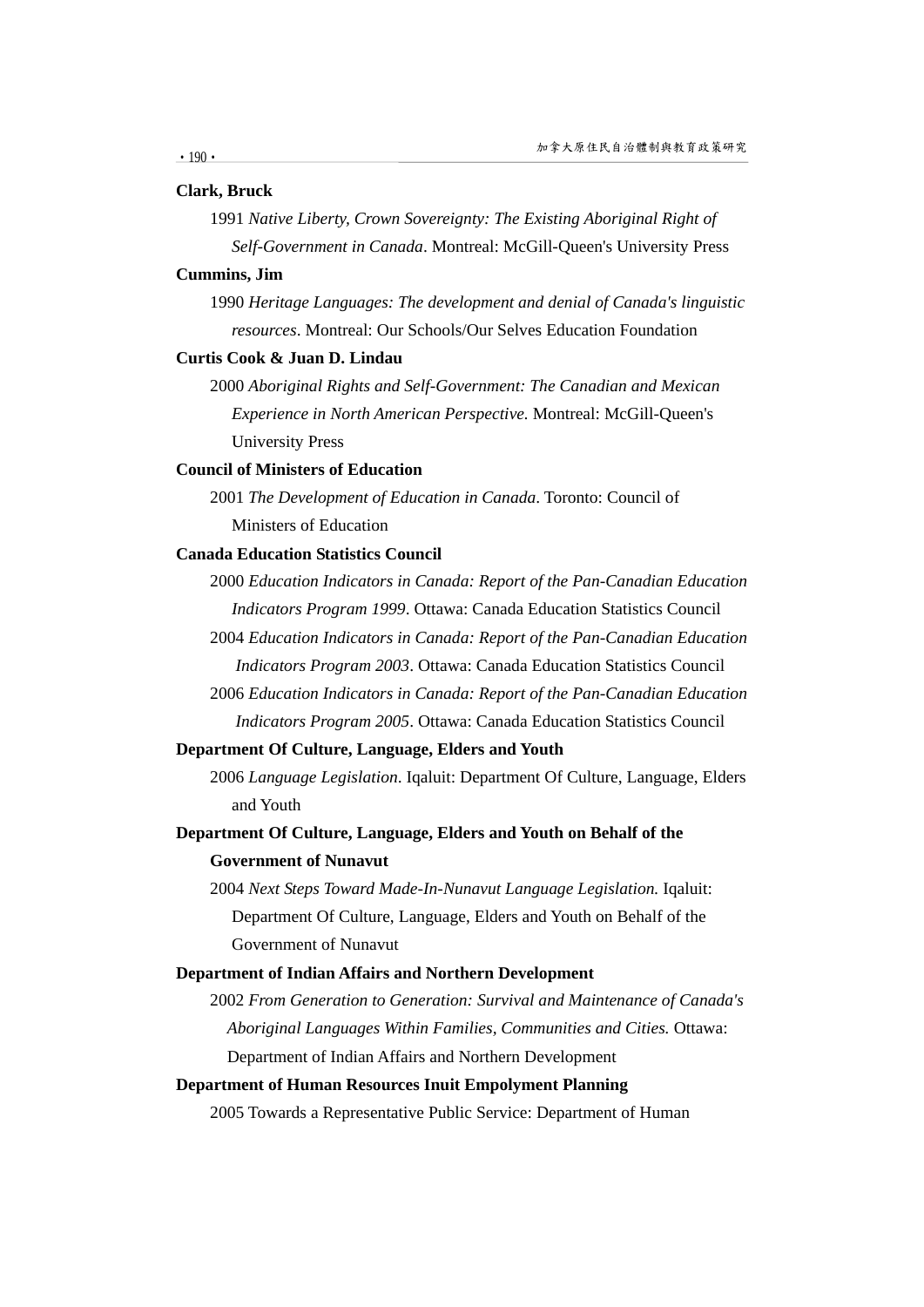#### **Clark, Bruck**

1991 *Native Liberty, Crown Sovereignty: The Existing Aboriginal Right of Self-Government in Canada*. Montreal: McGill-Queen's University Press

#### **Cummins, Jim**

1990 *Heritage Languages: The development and denial of Canada's linguistic resources*. Montreal: Our Schools/Our Selves Education Foundation

#### **Curtis Cook & Juan D. Lindau**

2000 *Aboriginal Rights and Self-Government: The Canadian and Mexican Experience in North American Perspective.* Montreal: McGill-Queen's University Press

#### **Council of Ministers of Education**

2001 *The Development of Education in Canada*. Toronto: Council of Ministers of Education

# **Canada Education Statistics Council**

2000 *Education Indicators in Canada: Report of the Pan-Canadian Education Indicators Program 1999*. Ottawa: Canada Education Statistics Council

- 2004 *Education Indicators in Canada: Report of the Pan-Canadian Education Indicators Program 2003*. Ottawa: Canada Education Statistics Council
- 2006 *Education Indicators in Canada: Report of the Pan-Canadian Education Indicators Program 2005*. Ottawa: Canada Education Statistics Council

#### **Department Of Culture, Language, Elders and Youth**

2006 *Language Legislation*. Iqaluit: Department Of Culture, Language, Elders and Youth

# **Department Of Culture, Language, Elders and Youth on Behalf of the Government of Nunavut**

2004 *Next Steps Toward Made-In-Nunavut Language Legislation.* Iqaluit: Department Of Culture, Language, Elders and Youth on Behalf of the Government of Nunavut

#### **Department of Indian Affairs and Northern Development**

2002 *From Generation to Generation: Survival and Maintenance of Canada's Aboriginal Languages Within Families, Communities and Cities.* Ottawa: Department of Indian Affairs and Northern Development

# **Department of Human Resources Inuit Empolyment Planning**

2005 Towards a Representative Public Service: Department of Human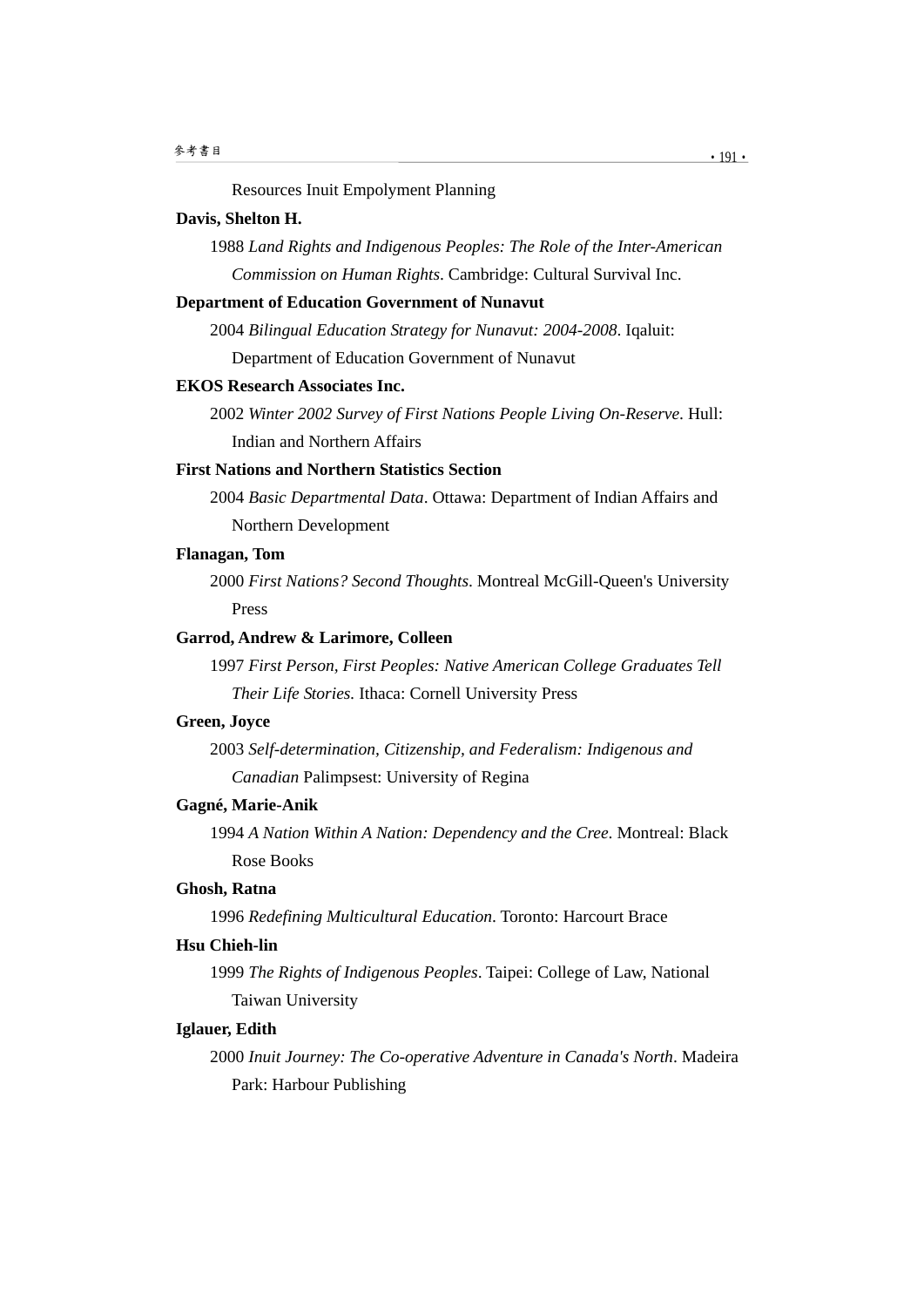Resources Inuit Empolyment Planning

#### **Davis, Shelton H.**

1988 *Land Rights and Indigenous Peoples: The Role of the Inter-American Commission on Human Rights*. Cambridge: Cultural Survival Inc.

# **Department of Education Government of Nunavut**

2004 *Bilingual Education Strategy for Nunavut: 2004-2008*. Iqaluit: Department of Education Government of Nunavut

#### **EKOS Research Associates Inc.**

2002 *Winter 2002 Survey of First Nations People Living On-Reserve*. Hull: Indian and Northern Affairs

# **First Nations and Northern Statistics Section**

2004 *Basic Departmental Data*. Ottawa: Department of Indian Affairs and Northern Development

## **Flanagan, Tom**

2000 *First Nations? Second Thoughts*. Montreal McGill-Queen's University Press

# **Garrod, Andrew & Larimore, Colleen**

1997 *First Person, First Peoples: Native American College Graduates Tell Their Life Stories.* Ithaca: Cornell University Press

# **Green, Joyce**

2003 *Self-determination, Citizenship, and Federalism: Indigenous and Canadian* Palimpsest: University of Regina

#### **Gagné, Marie-Anik**

1994 *A Nation Within A Nation: Dependency and the Cree*. Montreal: Black Rose Books

## **Ghosh, Ratna**

1996 *Redefining Multicultural Education*. Toronto: Harcourt Brace

# **Hsu Chieh-lin**

1999 *The Rights of Indigenous Peoples*. Taipei: College of Law, National Taiwan University

# **Iglauer, Edith**

2000 *Inuit Journey: The Co-operative Adventure in Canada's North*. Madeira Park: Harbour Publishing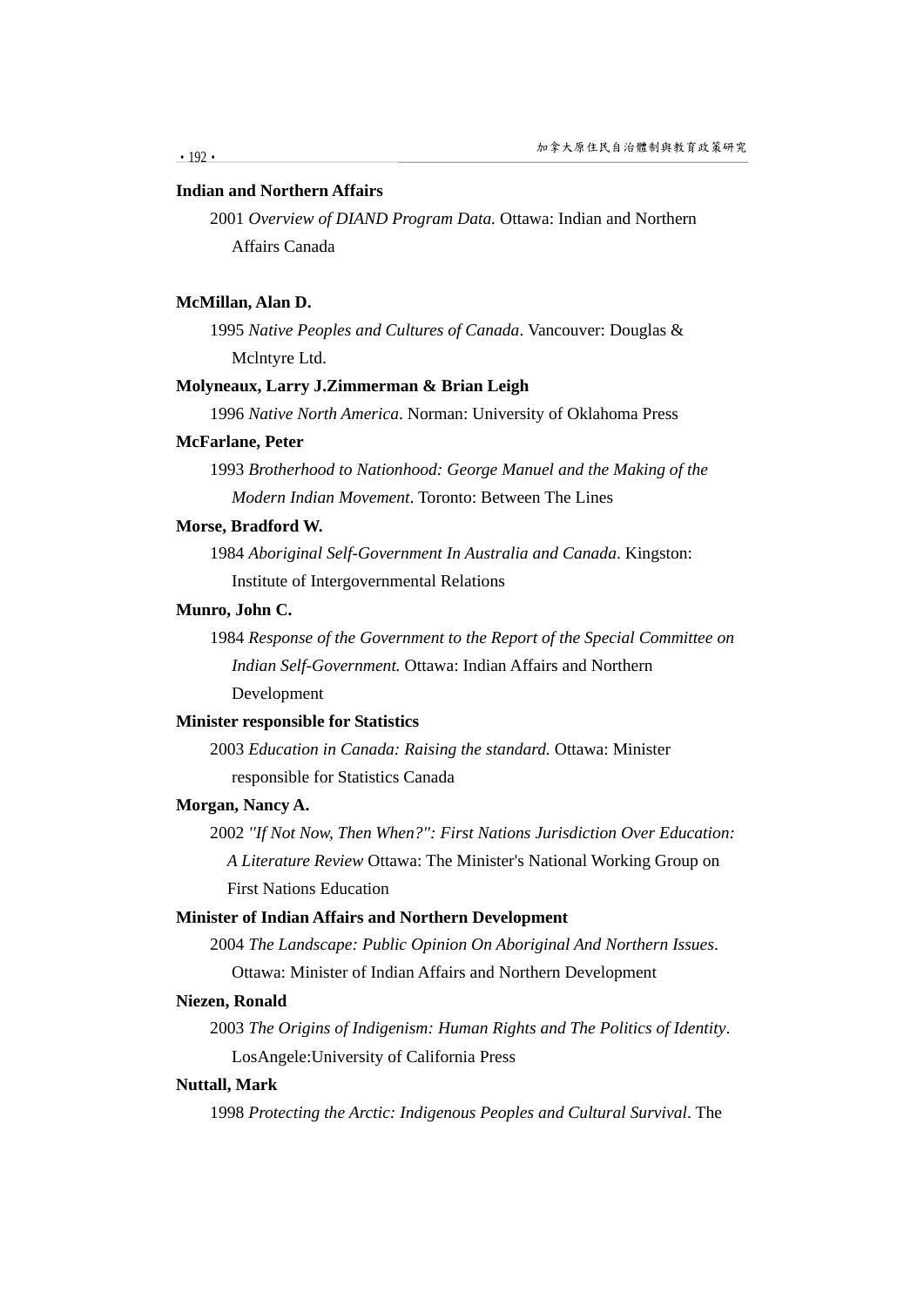#### **Indian and Northern Affairs**

2001 *Overview of DIAND Program Data.* Ottawa: Indian and Northern Affairs Canada

# **McMillan, Alan D.**

1995 *Native Peoples and Cultures of Canada*. Vancouver: Douglas & Mclntyre Ltd.

#### **Molyneaux, Larry J.Zimmerman & Brian Leigh**

1996 *Native North America*. Norman: University of Oklahoma Press

#### **McFarlane, Peter**

1993 *Brotherhood to Nationhood: George Manuel and the Making of the Modern Indian Movement*. Toronto: Between The Lines

#### **Morse, Bradford W.**

1984 *Aboriginal Self-Government In Australia and Canada*. Kingston: Institute of Intergovernmental Relations

# **Munro, John C.**

1984 *Response of the Government to the Report of the Special Committee on Indian Self-Government.* Ottawa: Indian Affairs and Northern Development

# **Minister responsible for Statistics**

2003 *Education in Canada: Raising the standard.* Ottawa: Minister responsible for Statistics Canada

#### **Morgan, Nancy A.**

2002 *''If Not Now, Then When?'': First Nations Jurisdiction Over Education: A Literature Review* Ottawa: The Minister's National Working Group on First Nations Education

# **Minister of Indian Affairs and Northern Development**

2004 *The Landscape: Public Opinion On Aboriginal And Northern Issues*. Ottawa: Minister of Indian Affairs and Northern Development

#### **Niezen, Ronald**

2003 *The Origins of Indigenism: Human Rights and The Politics of Identity*. LosAngele:University of California Press

#### **Nuttall, Mark**

1998 *Protecting the Arctic: Indigenous Peoples and Cultural Survival*. The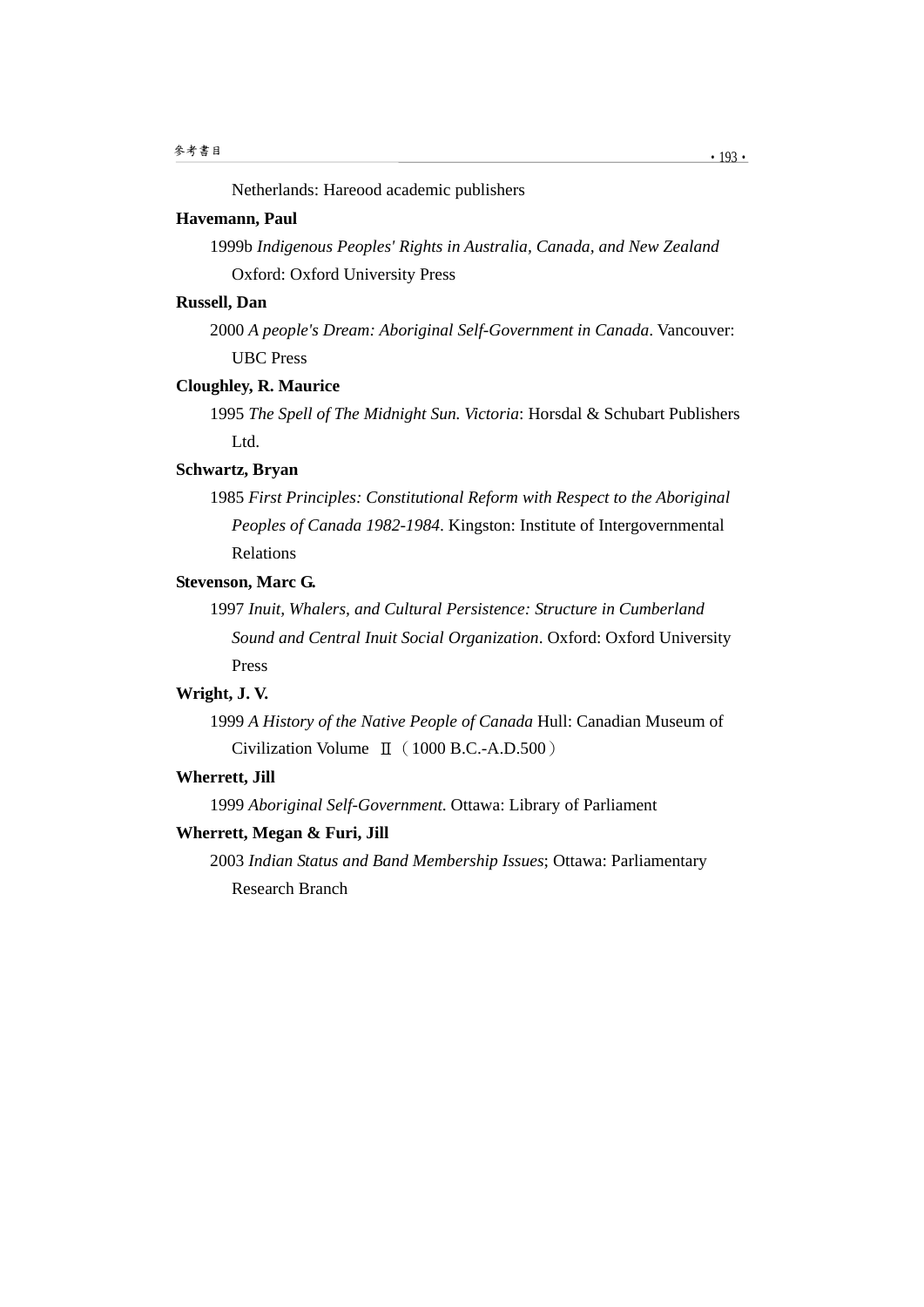Netherlands: Hareood academic publishers

### **Havemann, Paul**

1999b *Indigenous Peoples' Rights in Australia, Canada, and New Zealand* Oxford: Oxford University Press

# **Russell, Dan**

2000 *A people's Dream: Aboriginal Self-Government in Canada*. Vancouver: UBC Press

#### **Cloughley, R. Maurice**

1995 *The Spell of The Midnight Sun. Victoria*: Horsdal & Schubart Publishers Ltd.

# **Schwartz, Bryan**

1985 *First Principles: Constitutional Reform with Respect to the Aboriginal Peoples of Canada 1982-1984*. Kingston: Institute of Intergovernmental Relations

# **Stevenson, Marc G.**

1997 *Inuit, Whalers, and Cultural Persistence: Structure in Cumberland Sound and Central Inuit Social Organization*. Oxford: Oxford University Press

# **Wright, J. V.**

1999 *A History of the Native People of Canada* Hull: Canadian Museum of Civilization Volume Ⅱ(1000 B.C.-A.D.500)

### **Wherrett, Jill**

1999 *Aboriginal Self-Government*. Ottawa: Library of Parliament

# **Wherrett, Megan & Furi, Jill**

2003 *Indian Status and Band Membership Issues*; Ottawa: Parliamentary Research Branch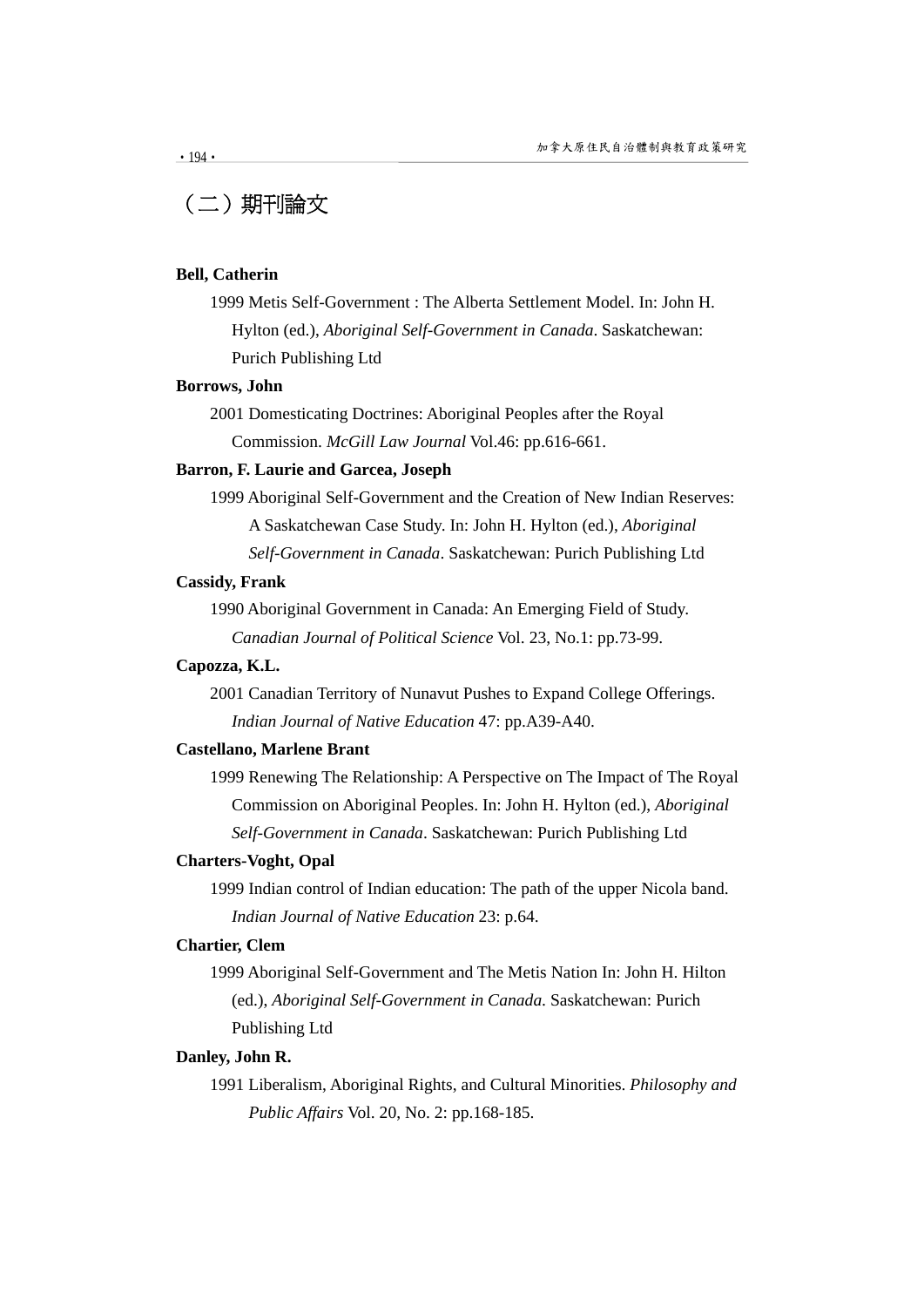# (二)期刊論文

#### **Bell, Catherin**

1999 Metis Self-Government : The Alberta Settlement Model. In: John H. Hylton (ed.), *Aboriginal Self-Government in Canada*. Saskatchewan: Purich Publishing Ltd

#### **Borrows, John**

2001 Domesticating Doctrines: Aboriginal Peoples after the Royal Commission. *McGill Law Journal* Vol.46: pp.616-661.

#### **Barron, F. Laurie and Garcea, Joseph**

1999 Aboriginal Self-Government and the Creation of New Indian Reserves: A Saskatchewan Case Study. In: John H. Hylton (ed.), *Aboriginal Self-Government in Canada*. Saskatchewan: Purich Publishing Ltd

#### **Cassidy, Frank**

1990 Aboriginal Government in Canada: An Emerging Field of Study. *Canadian Journal of Political Science* Vol. 23, No.1: pp.73-99.

# **Capozza, K.L.**

2001 Canadian Territory of Nunavut Pushes to Expand College Offerings. *Indian Journal of Native Education* 47: pp.A39-A40.

### **Castellano, Marlene Brant**

1999 Renewing The Relationship: A Perspective on The Impact of The Royal Commission on Aboriginal Peoples. In: John H. Hylton (ed.), *Aboriginal Self-Government in Canada*. Saskatchewan: Purich Publishing Ltd

#### **Charters-Voght, Opal**

1999 Indian control of Indian education: The path of the upper Nicola band. *Indian Journal of Native Education* 23: p.64.

# **Chartier, Clem**

1999 Aboriginal Self-Government and The Metis Nation In: John H. Hilton (ed.), *Aboriginal Self-Government in Canada*. Saskatchewan: Purich Publishing Ltd

#### **Danley, John R.**

1991 Liberalism, Aboriginal Rights, and Cultural Minorities. *Philosophy and Public Affairs* Vol. 20, No. 2: pp.168-185.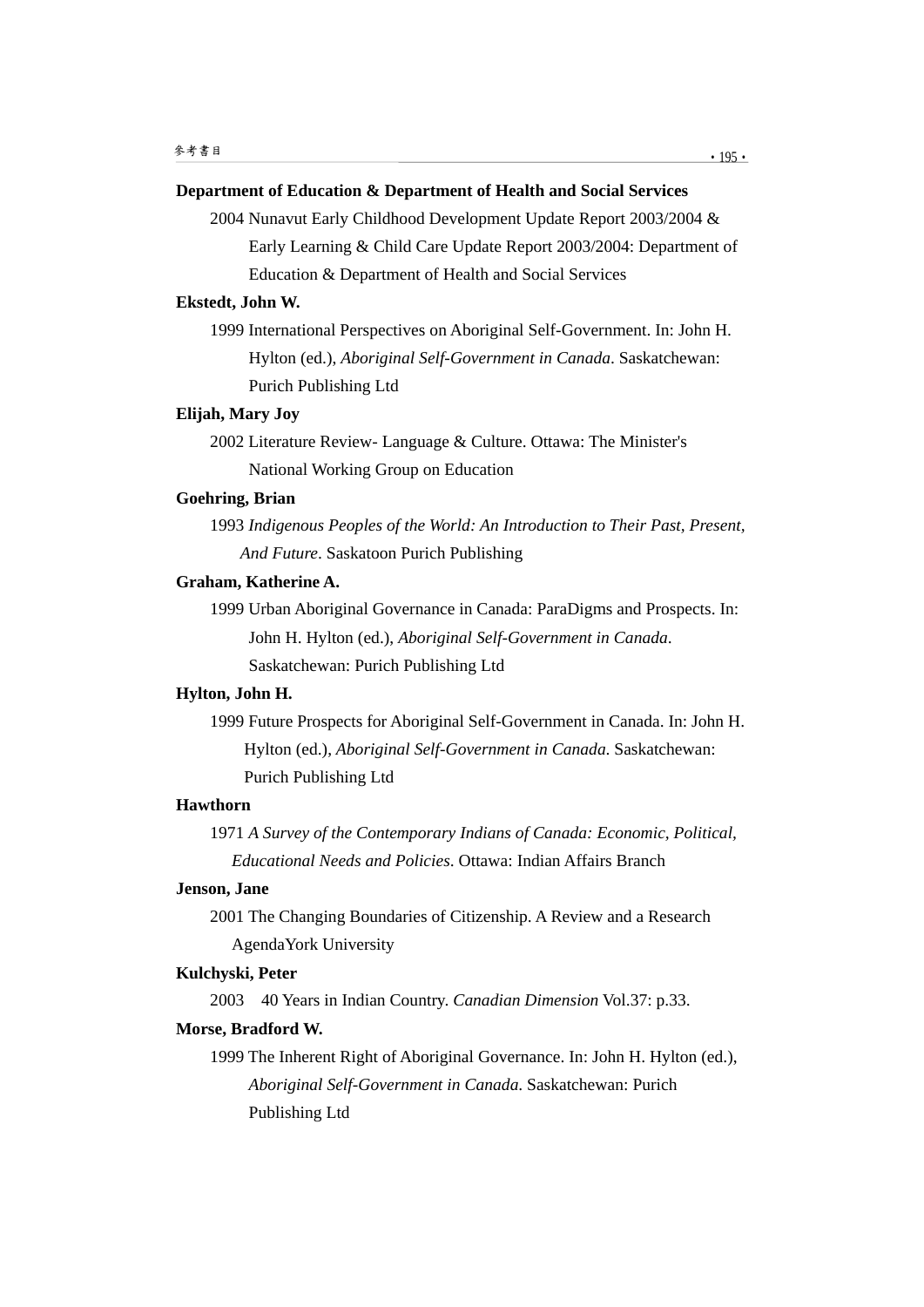# **Department of Education & Department of Health and Social Services**

2004 Nunavut Early Childhood Development Update Report 2003/2004 & Early Learning & Child Care Update Report 2003/2004: Department of Education & Department of Health and Social Services

# **Ekstedt, John W.**

1999 International Perspectives on Aboriginal Self-Government. In: John H. Hylton (ed.), *Aboriginal Self-Government in Canada*. Saskatchewan: Purich Publishing Ltd

#### **Elijah, Mary Joy**

2002 Literature Review- Language & Culture. Ottawa: The Minister's National Working Group on Education

## **Goehring, Brian**

1993 *Indigenous Peoples of the World: An Introduction to Their Past, Present, And Future*. Saskatoon Purich Publishing

#### **Graham, Katherine A.**

1999 Urban Aboriginal Governance in Canada: ParaDigms and Prospects. In: John H. Hylton (ed.), *Aboriginal Self-Government in Canada*. Saskatchewan: Purich Publishing Ltd

#### **Hylton, John H.**

1999 Future Prospects for Aboriginal Self-Government in Canada. In: John H. Hylton (ed.), *Aboriginal Self-Government in Canada*. Saskatchewan: Purich Publishing Ltd

# **Hawthorn**

1971 *A Survey of the Contemporary Indians of Canada: Economic, Political, Educational Needs and Policies*. Ottawa: Indian Affairs Branch

## **Jenson, Jane**

2001 The Changing Boundaries of Citizenship. A Review and a Research AgendaYork University

#### **Kulchyski, Peter**

2003 40 Years in Indian Country. *Canadian Dimension* Vol.37: p.33.

# **Morse, Bradford W.**

1999 The Inherent Right of Aboriginal Governance. In: John H. Hylton (ed.), *Aboriginal Self-Government in Canada*. Saskatchewan: Purich Publishing Ltd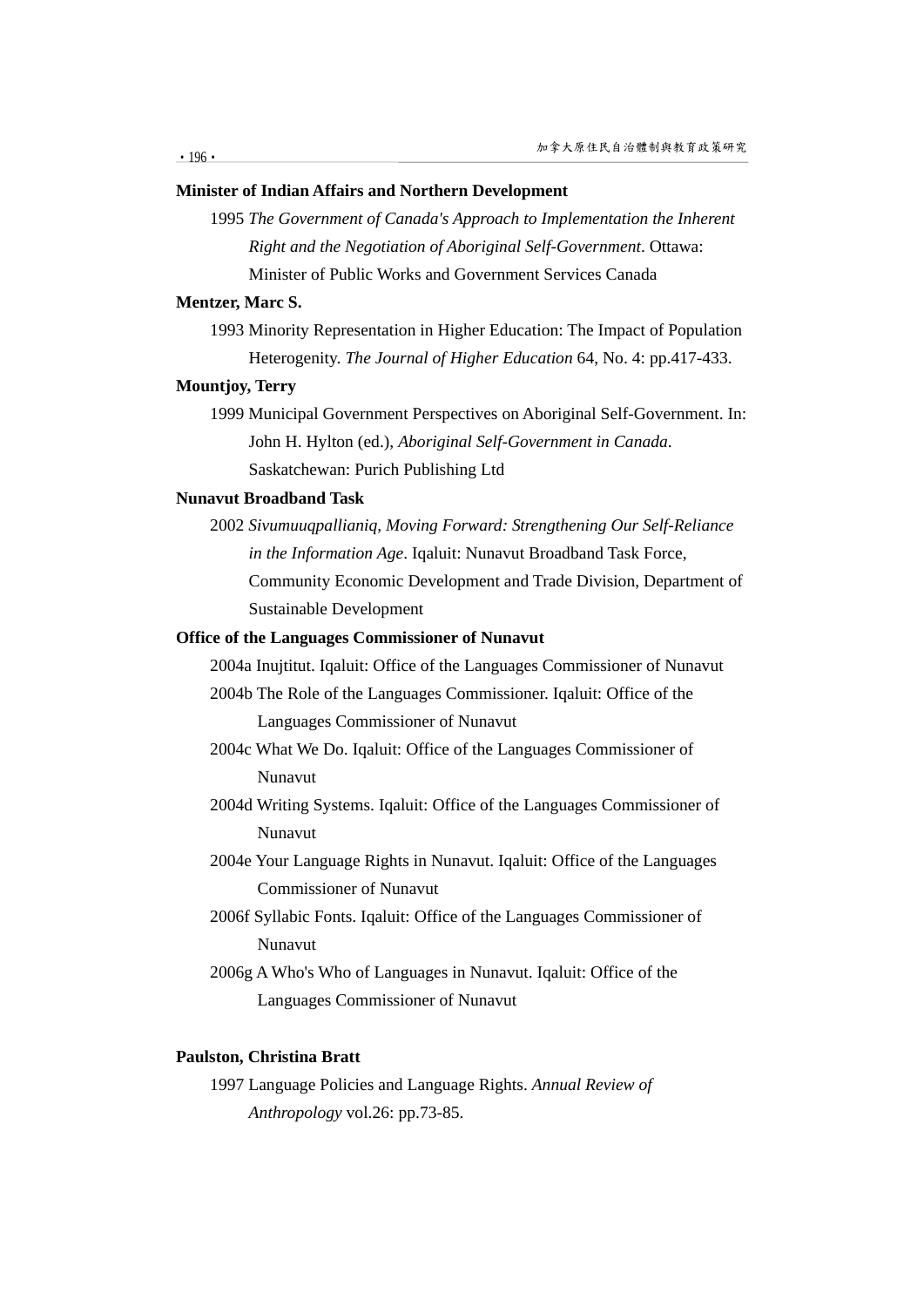# **Minister of Indian Affairs and Northern Development**

1995 *The Government of Canada's Approach to Implementation the Inherent Right and the Negotiation of Aboriginal Self-Government*. Ottawa: Minister of Public Works and Government Services Canada

# **Mentzer, Marc S.**

1993 Minority Representation in Higher Education: The Impact of Population Heterogenity. *The Journal of Higher Education* 64, No. 4: pp.417-433.

#### **Mountjoy, Terry**

1999 Municipal Government Perspectives on Aboriginal Self-Government. In: John H. Hylton (ed.), *Aboriginal Self-Government in Canada*. Saskatchewan: Purich Publishing Ltd

# **Nunavut Broadband Task**

2002 *Sivumuuqpallianiq, Moving Forward: Strengthening Our Self-Reliance in the Information Age*. Iqaluit: Nunavut Broadband Task Force, Community Economic Development and Trade Division, Department of Sustainable Development

# **Office of the Languages Commissioner of Nunavut**

2004a Inujtitut. Iqaluit: Office of the Languages Commissioner of Nunavut

- 2004b The Role of the Languages Commissioner. Iqaluit: Office of the Languages Commissioner of Nunavut
- 2004c What We Do. Iqaluit: Office of the Languages Commissioner of Nunavut
- 2004d Writing Systems. Iqaluit: Office of the Languages Commissioner of Nunavut
- 2004e Your Language Rights in Nunavut. Iqaluit: Office of the Languages Commissioner of Nunavut
- 2006f Syllabic Fonts. Iqaluit: Office of the Languages Commissioner of Nunavut
- 2006g A Who's Who of Languages in Nunavut. Iqaluit: Office of the Languages Commissioner of Nunavut

# **Paulston, Christina Bratt**

1997 Language Policies and Language Rights. *Annual Review of Anthropology* vol.26: pp.73-85.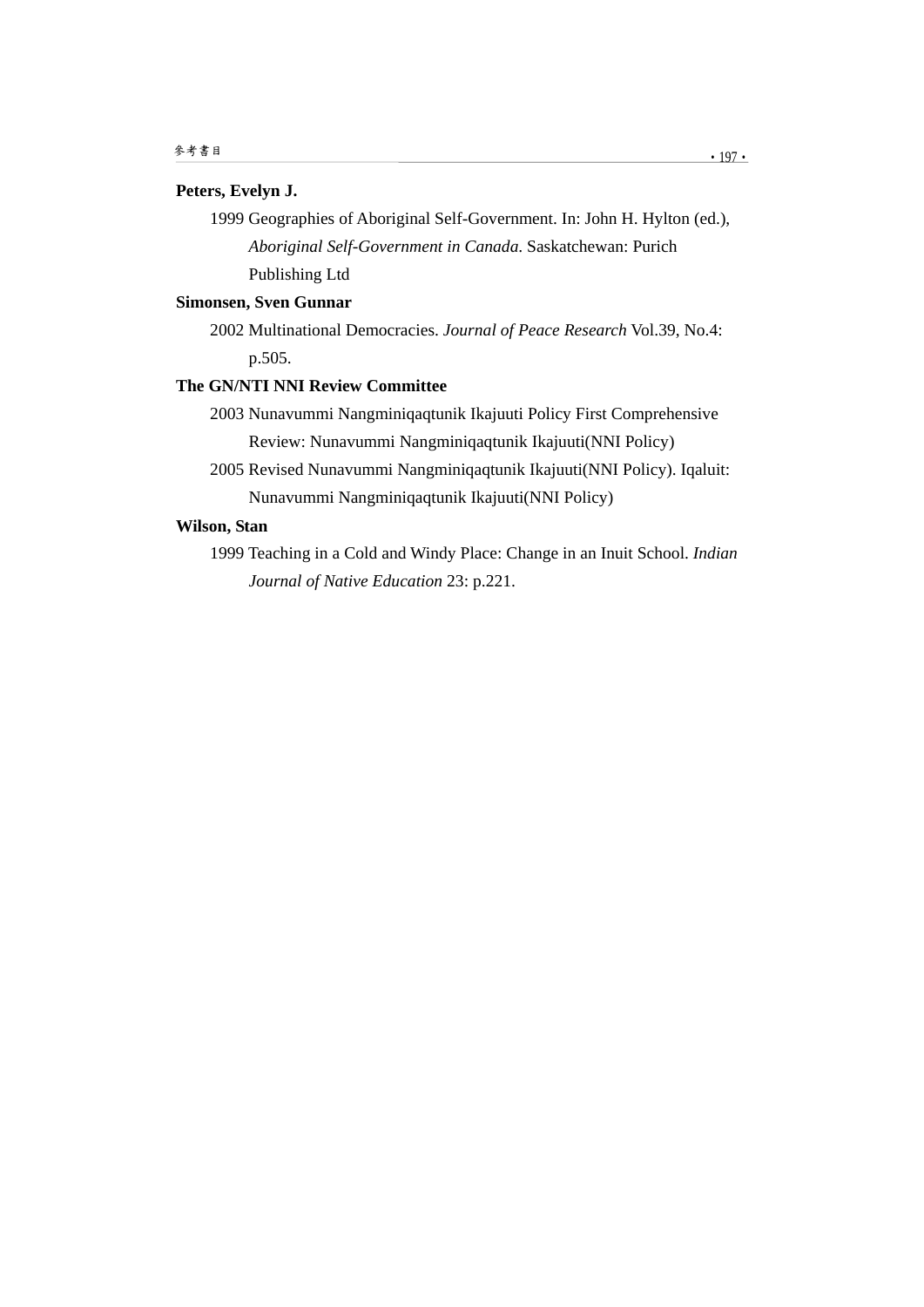## **Peters, Evelyn J.**

1999 Geographies of Aboriginal Self-Government. In: John H. Hylton (ed.), *Aboriginal Self-Government in Canada*. Saskatchewan: Purich Publishing Ltd

# **Simonsen, Sven Gunnar**

2002 Multinational Democracies. *Journal of Peace Research* Vol.39, No.4: p.505.

# **The GN/NTI NNI Review Committee**

2003 Nunavummi Nangminiqaqtunik Ikajuuti Policy First Comprehensive Review: Nunavummi Nangminiqaqtunik Ikajuuti(NNI Policy)

2005 Revised Nunavummi Nangminiqaqtunik Ikajuuti(NNI Policy). Iqaluit: Nunavummi Nangminiqaqtunik Ikajuuti(NNI Policy)

# **Wilson, Stan**

1999 Teaching in a Cold and Windy Place: Change in an Inuit School. *Indian Journal of Native Education* 23: p.221.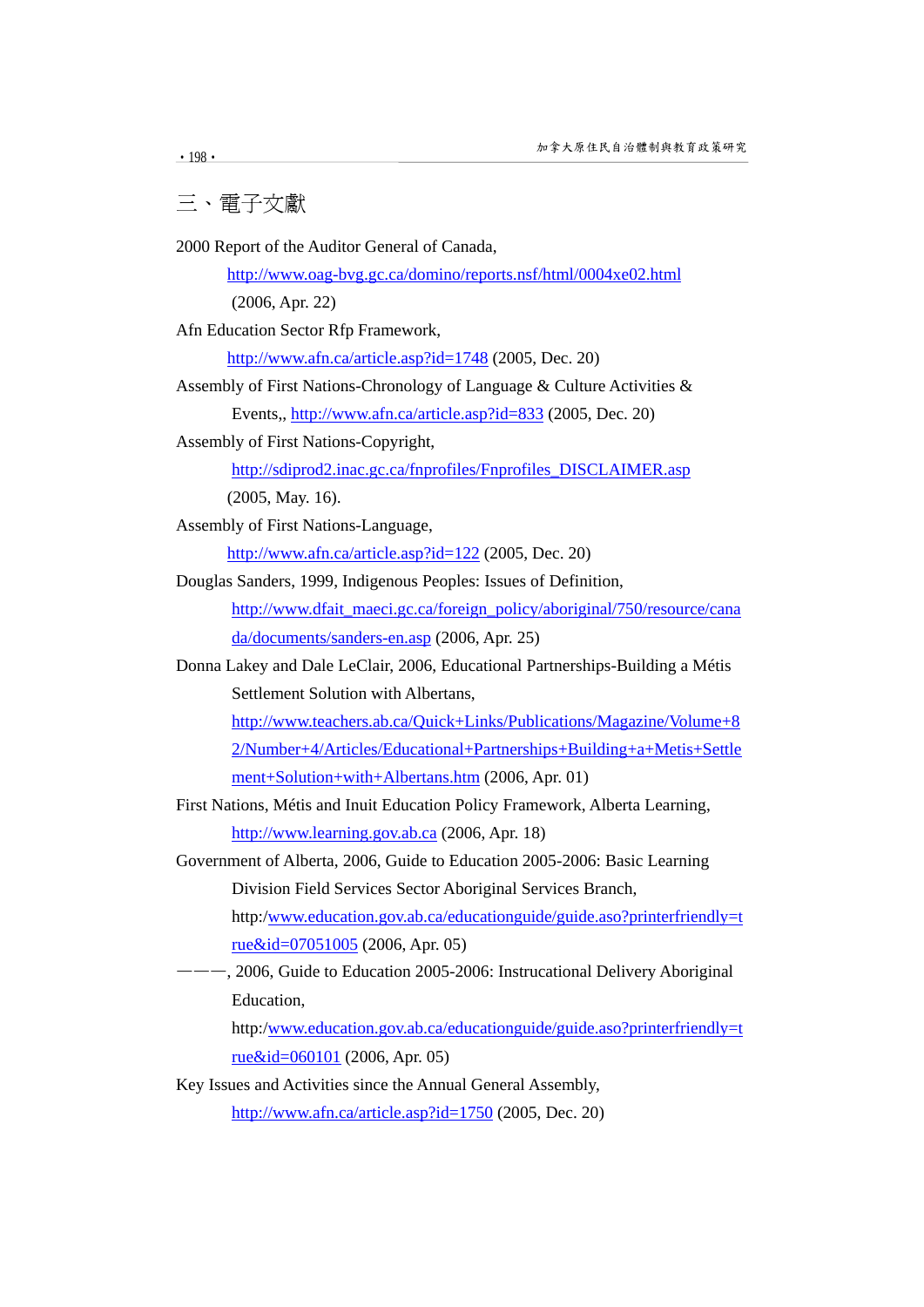三、電子文獻

2000 Report of the Auditor General of Canada,

http://www.oag-bvg.gc.ca/domino/reports.nsf/html/0004xe02.html

(2006, Apr. 22)

Afn Education Sector Rfp Framework,

http://www.afn.ca/article.asp?id=1748 (2005, Dec. 20)

- Assembly of First Nations-Chronology of Language & Culture Activities & Events,, http://www.afn.ca/article.asp?id=833 (2005, Dec. 20)
- Assembly of First Nations-Copyright,

http://sdiprod2.inac.gc.ca/fnprofiles/Fnprofiles\_DISCLAIMER.asp (2005, May. 16).

Assembly of First Nations-Language,

http://www.afn.ca/article.asp?id=122 (2005, Dec. 20)

Douglas Sanders, 1999, Indigenous Peoples: Issues of Definition,

http://www.dfait\_maeci.gc.ca/foreign\_policy/aboriginal/750/resource/cana da/documents/sanders-en.asp (2006, Apr. 25)

Donna Lakey and Dale LeClair, 2006, Educational Partnerships-Building a Métis Settlement Solution with Albertans,

http://www.teachers.ab.ca/Quick+Links/Publications/Magazine/Volume+8 2/Number+4/Articles/Educational+Partnerships+Building+a+Metis+Settle ment+Solution+with+Albertans.htm (2006, Apr. 01)

First Nations, Métis and Inuit Education Policy Framework, Alberta Learning, http://www.learning.gov.ab.ca (2006, Apr. 18)

Government of Alberta, 2006, Guide to Education 2005-2006: Basic Learning Division Field Services Sector Aboriginal Services Branch, http:/www.education.gov.ab.ca/educationguide/guide.aso?printerfriendly=t

rue&id=07051005 (2006, Apr. 05)

———, 2006, Guide to Education 2005-2006: Instrucational Delivery Aboriginal Education,

http:/www.education.gov.ab.ca/educationguide/guide.aso?printerfriendly=t rue&id=060101 (2006, Apr. 05)

Key Issues and Activities since the Annual General Assembly,

http://www.afn.ca/article.asp?id=1750 (2005, Dec. 20)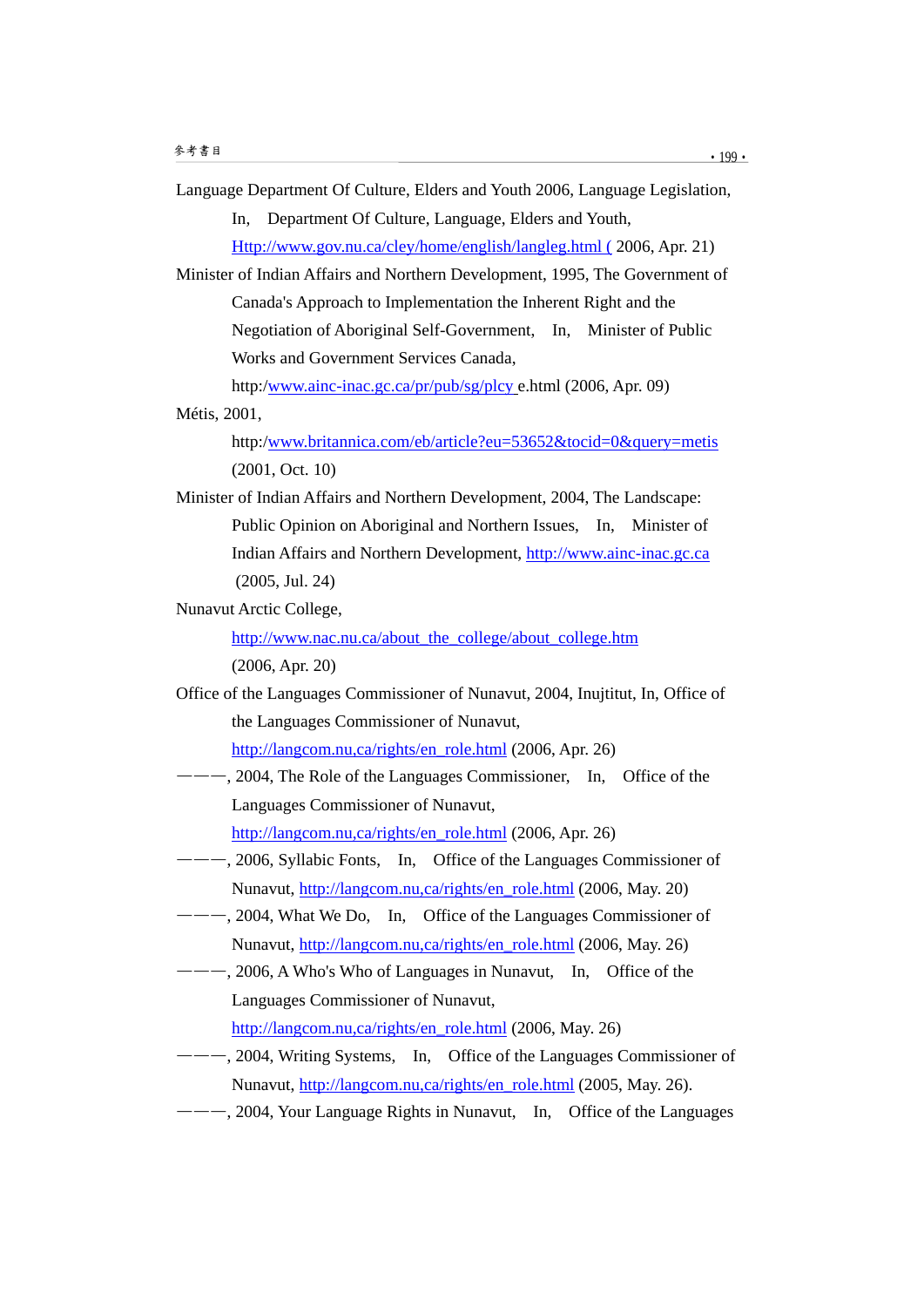Language Department Of Culture, Elders and Youth 2006, Language Legislation,

In, Department Of Culture, Language, Elders and Youth,

Http://www.gov.nu.ca/cley/home/english/langleg.html ( 2006, Apr. 21)

Minister of Indian Affairs and Northern Development, 1995, The Government of Canada's Approach to Implementation the Inherent Right and the Negotiation of Aboriginal Self-Government, In, Minister of Public Works and Government Services Canada,

http:/www.ainc-inac.gc.ca/pr/pub/sg/plcy e.html (2006, Apr. 09)

#### Métis, 2001,

http:/www.britannica.com/eb/article?eu=53652&tocid=0&query=metis (2001, Oct. 10)

Minister of Indian Affairs and Northern Development, 2004, The Landscape: Public Opinion on Aboriginal and Northern Issues, In, Minister of Indian Affairs and Northern Development, http://www.ainc-inac.gc.ca (2005, Jul. 24)

Nunavut Arctic College,

http://www.nac.nu.ca/about\_the\_college/about\_college.htm (2006, Apr. 20)

Office of the Languages Commissioner of Nunavut, 2004, Inujtitut, In, Office of the Languages Commissioner of Nunavut,

http://langcom.nu,ca/rights/en\_role.html (2006, Apr. 26)

--, 2004, The Role of the Languages Commissioner, In, Office of the Languages Commissioner of Nunavut,

http://langcom.nu,ca/rights/en\_role.html (2006, Apr. 26)

- ———, 2006, Syllabic Fonts, In, Office of the Languages Commissioner of Nunavut, http://langcom.nu,ca/rights/en\_role.html (2006, May. 20)
- --, 2004, What We Do, In, Office of the Languages Commissioner of Nunavut, http://langcom.nu,ca/rights/en\_role.html (2006, May. 26)
- ———, 2006, A Who's Who of Languages in Nunavut, In, Office of the Languages Commissioner of Nunavut,

http://langcom.nu,ca/rights/en\_role.html (2006, May. 26)

- ———, 2004, Writing Systems, In, Office of the Languages Commissioner of Nunavut, http://langcom.nu,ca/rights/en\_role.html (2005, May. 26).
- ———, 2004, Your Language Rights in Nunavut, In, Office of the Languages